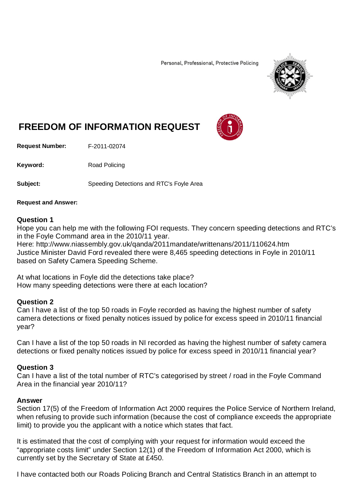Personal, Professional, Protective Policing



# **FREEDOM OF INFORMATION REQUEST**

**Request Number:** F-2011-02074

Keyword: Road Policing

Subject: Speeding Detections and RTC's Foyle Area

### **Request and Answer:**

## **Question 1**

Hope you can help me with the following FOI requests. They concern speeding detections and RTC's in the Foyle Command area in the 2010/11 year.

Here: http://www.niassembly.gov.uk/qanda/2011mandate/writtenans/2011/110624.htm Justice Minister David Ford revealed there were 8,465 speeding detections in Foyle in 2010/11 based on Safety Camera Speeding Scheme.

At what locations in Foyle did the detections take place? How many speeding detections were there at each location?

## **Question 2**

Can I have a list of the top 50 roads in Foyle recorded as having the highest number of safety camera detections or fixed penalty notices issued by police for excess speed in 2010/11 financial year?

Can I have a list of the top 50 roads in NI recorded as having the highest number of safety camera detections or fixed penalty notices issued by police for excess speed in 2010/11 financial year?

# **Question 3**

Can I have a list of the total number of RTC's categorised by street / road in the Foyle Command Area in the financial year 2010/11?

### **Answer**

Section 17(5) of the Freedom of Information Act 2000 requires the Police Service of Northern Ireland, when refusing to provide such information (because the cost of compliance exceeds the appropriate limit) to provide you the applicant with a notice which states that fact.

It is estimated that the cost of complying with your request for information would exceed the "appropriate costs limit" under Section 12(1) of the Freedom of Information Act 2000, which is currently set by the Secretary of State at £450.

I have contacted both our Roads Policing Branch and Central Statistics Branch in an attempt to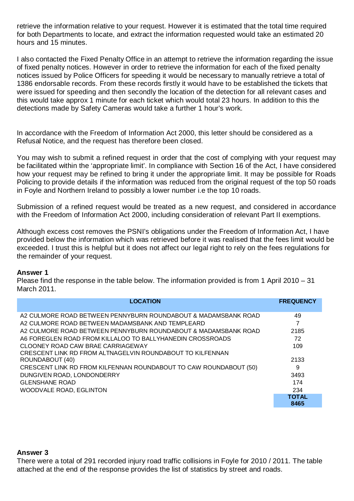retrieve the information relative to your request. However it is estimated that the total time required for both Departments to locate, and extract the information requested would take an estimated 20 hours and 15 minutes.

I also contacted the Fixed Penalty Office in an attempt to retrieve the information regarding the issue of fixed penalty notices. However in order to retrieve the information for each of the fixed penalty notices issued by Police Officers for speeding it would be necessary to manually retrieve a total of 1386 endorsable records. From these records firstly it would have to be established the tickets that were issued for speeding and then secondly the location of the detection for all relevant cases and this would take approx 1 minute for each ticket which would total 23 hours. In addition to this the detections made by Safety Cameras would take a further 1 hour's work.

In accordance with the Freedom of Information Act 2000, this letter should be considered as a Refusal Notice, and the request has therefore been closed.

You may wish to submit a refined request in order that the cost of complying with your request may be facilitated within the 'appropriate limit'. In compliance with Section 16 of the Act, I have considered how your request may be refined to bring it under the appropriate limit. It may be possible for Roads Policing to provide details if the information was reduced from the original request of the top 50 roads in Foyle and Northern Ireland to possibly a lower number i.e the top 10 roads.

Submission of a refined request would be treated as a new request, and considered in accordance with the Freedom of Information Act 2000, including consideration of relevant Part II exemptions.

Although excess cost removes the PSNI's obligations under the Freedom of Information Act, I have provided below the information which was retrieved before it was realised that the fees limit would be exceeded. I trust this is helpful but it does not affect our legal right to rely on the fees regulations for the remainder of your request.

### **Answer 1**

Please find the response in the table below. The information provided is from 1 April 2010 – 31 March 2011.

| <b>LOCATION</b>                                                   | <b>FREQUENCY</b> |
|-------------------------------------------------------------------|------------------|
| A2 CULMORE ROAD BETWEEN PENNYBURN ROUNDABOUT & MADAMSBANK ROAD    | 49               |
| A2 CULMORE ROAD BETWEEN MADAMSBANK AND TEMPLEARD                  | 7                |
| A2 CULMORE ROAD BETWEEN PENNYBURN ROUNDABOUT & MADAMSBANK ROAD    | 2185             |
| A6 FOREGLEN ROAD FROM KILLALOO TO BALLYHANEDIN CROSSROADS         | 72               |
| CLOONEY ROAD CAW BRAE CARRIAGEWAY                                 | 109              |
| CRESCENT LINK RD FROM ALTNAGELVIN ROUNDABOUT TO KILFENNAN         |                  |
| ROUNDABOUT (40)                                                   | 2133             |
| CRESCENT LINK RD FROM KILFENNAN ROUNDABOUT TO CAW ROUNDABOUT (50) | 9                |
| DUNGIVEN ROAD, LONDONDERRY                                        | 3493             |
| <b>GLENSHANE ROAD</b>                                             | 174              |
| <b>WOODVALE ROAD, EGLINTON</b>                                    | 234              |
|                                                                   | <b>TOTAL</b>     |
|                                                                   | 8465             |

## **Answer 3**

There were a total of 291 recorded injury road traffic collisions in Foyle for 2010 / 2011. The table attached at the end of the response provides the list of statistics by street and roads.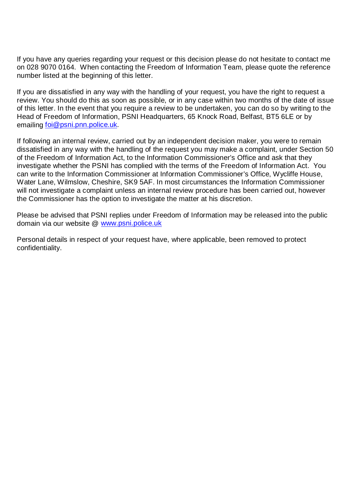If you have any queries regarding your request or this decision please do not hesitate to contact me on 028 9070 0164. When contacting the Freedom of Information Team, please quote the reference number listed at the beginning of this letter.

If you are dissatisfied in any way with the handling of your request, you have the right to request a review. You should do this as soon as possible, or in any case within two months of the date of issue of this letter. In the event that you require a review to be undertaken, you can do so by writing to the Head of Freedom of Information, PSNI Headquarters, 65 Knock Road, Belfast, BT5 6LE or by emailing [foi@psni.pnn.police.uk.](mailto:foi@psni.pnn.police.uk)

If following an internal review, carried out by an independent decision maker, you were to remain dissatisfied in any way with the handling of the request you may make a complaint, under Section 50 of the Freedom of Information Act, to the Information Commissioner's Office and ask that they investigate whether the PSNI has complied with the terms of the Freedom of Information Act. You can write to the Information Commissioner at Information Commissioner's Office, Wycliffe House, Water Lane, Wilmslow, Cheshire, SK9 5AF. In most circumstances the Information Commissioner will not investigate a complaint unless an internal review procedure has been carried out, however the Commissioner has the option to investigate the matter at his discretion.

Please be advised that PSNI replies under Freedom of Information may be released into the public domain via our website @ [www.psni.police.uk](http://www.psni.police.uk/)

Personal details in respect of your request have, where applicable, been removed to protect confidentiality.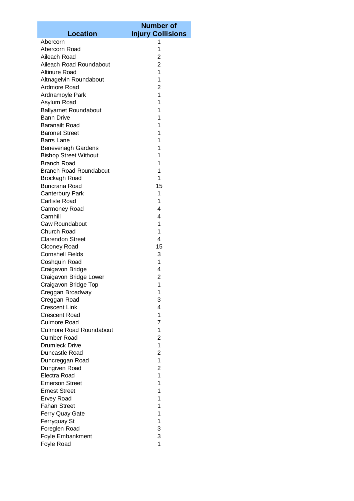|                                | <b>Number of</b>         |
|--------------------------------|--------------------------|
| <b>Location</b>                | <b>Injury Collisions</b> |
| Abercorn                       | 1                        |
| Abercorn Road                  | 1                        |
| Aileach Road                   | 2                        |
| Aileach Road Roundabout        | $\overline{2}$           |
| <b>Altinure Road</b>           | 1                        |
| Altnagelvin Roundabout         | 1                        |
| Ardmore Road                   | $\overline{2}$           |
| Ardnamoyle Park                | 1                        |
| Asylum Road                    | 1                        |
| <b>Ballyarnet Roundabout</b>   | 1                        |
| <b>Bann Drive</b>              | 1                        |
| <b>Baranailt Road</b>          | 1                        |
| <b>Baronet Street</b>          | 1                        |
| <b>Barrs Lane</b>              | 1                        |
| <b>Benevenagh Gardens</b>      | 1                        |
| <b>Bishop Street Without</b>   | 1                        |
| <b>Branch Road</b>             | 1                        |
| <b>Branch Road Roundabout</b>  | 1                        |
| Brockagh Road                  | 1                        |
| <b>Buncrana Road</b>           | 15                       |
| Canterbury Park                | 1                        |
| <b>Carlisle Road</b>           | 1                        |
| Carmoney Road                  | 4                        |
| Carnhill                       | 4                        |
| Caw Roundabout                 | $\mathbf 1$              |
| Church Road                    | 1                        |
| <b>Clarendon Street</b>        | 4                        |
| <b>Clooney Road</b>            | 15                       |
| <b>Cornshell Fields</b>        | 3                        |
| Coshquin Road                  | 1                        |
| Craigavon Bridge               | 4                        |
| Craigavon Bridge Lower         | 2                        |
| Craigavon Bridge Top           | 1                        |
| Creggan Broadway               | 1                        |
| Creggan Road                   | 3                        |
| <b>Crescent Link</b>           | 4                        |
| <b>Crescent Road</b>           | 1                        |
| <b>Culmore Road</b>            | 7                        |
| <b>Culmore Road Roundabout</b> | 1                        |
| <b>Cumber Road</b>             | $\overline{2}$           |
| <b>Drumleck Drive</b>          | 1                        |
| Duncastle Road                 | $\overline{2}$           |
| Duncreggan Road                | 1                        |
| Dungiven Road                  | $\overline{2}$           |
| Electra Road                   | 1                        |
| <b>Emerson Street</b>          | 1                        |
| <b>Ernest Street</b>           | 1                        |
| <b>Ervey Road</b>              | 1                        |
| <b>Fahan Street</b>            | 1                        |
| Ferry Quay Gate                | 1                        |
| Ferryquay St                   | 1                        |
| Foreglen Road                  | 3                        |
| Foyle Embankment               | 3                        |
| Foyle Road                     | 1                        |
|                                |                          |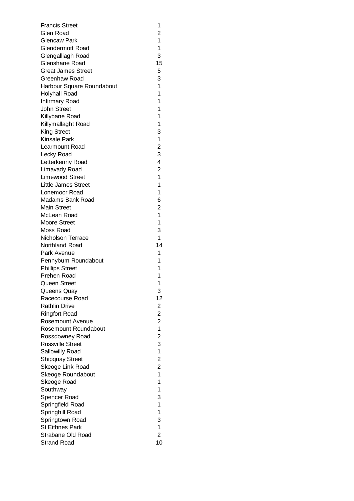| <b>Francis Street</b>                | 1                       |
|--------------------------------------|-------------------------|
| Glen Road                            | 2                       |
| Glencaw Park                         | 1                       |
| <b>Glendermott Road</b>              | 1                       |
| Glengalliagh Road                    | 3                       |
| Glenshane Road                       | 15                      |
| <b>Great James Street</b>            | 5                       |
| Greenhaw Road                        | 3                       |
| Harbour Square Roundabout            | 1                       |
| Holyhall Road                        | 1                       |
|                                      | 1                       |
| Infirmary Road<br><b>John Street</b> | 1                       |
|                                      | 1                       |
| Killybane Road                       |                         |
| Killymallaght Road                   | 1                       |
| <b>King Street</b>                   | 3                       |
| <b>Kinsale Park</b>                  | 1                       |
| Learmount Road                       | $\overline{c}$          |
| Lecky Road                           | 3                       |
| Letterkenny Road                     | 4                       |
| Limavady Road                        | $\overline{2}$          |
| <b>Limewood Street</b>               | 1                       |
| <b>Little James Street</b>           | 1                       |
| Lonemoor Road                        | 1                       |
| Madams Bank Road                     | 6                       |
| Main Street                          | 2                       |
| McLean Road                          | 1                       |
| <b>Moore Street</b>                  | 1                       |
| Moss Road                            | 3                       |
| Nicholson Terrace                    | 1                       |
| Northland Road                       | 14                      |
| Park Avenue                          | 1                       |
| Pennyburn Roundabout                 | 1                       |
| <b>Phillips Street</b>               | 1                       |
| Prehen Road                          | 1                       |
| <b>Queen Street</b>                  | 1                       |
| Queens Quay                          | 3                       |
| Racecourse Road                      | 12                      |
| <b>Rathlin Drive</b>                 | 2                       |
| <b>Ringfort Road</b>                 | $\overline{\mathbf{c}}$ |
| Rosemount Avenue                     | $\overline{\mathbf{c}}$ |
| Rosemount Roundabout                 | $\overline{1}$          |
| Rossdowney Road                      | $\overline{c}$          |
| <b>Rossville Street</b>              | 3                       |
| Sallowilly Road                      | $\mathbf 1$             |
| <b>Shipquay Street</b>               | $\overline{\mathbf{c}}$ |
| Skeoge Link Road                     | $\overline{\mathbf{c}}$ |
| Skeoge Roundabout                    | $\overline{1}$          |
| Skeoge Road                          | $\mathbf{1}$            |
| Southway                             | 1                       |
|                                      |                         |
| Spencer Road                         | 3<br>1                  |
| Springfield Road                     |                         |
| Springhill Road                      | 1                       |
| Springtown Road                      | 3                       |
| <b>St Eithnes Park</b>               | 1                       |
| Strabane Old Road                    | $\overline{2}$          |
| <b>Strand Road</b>                   | 10                      |